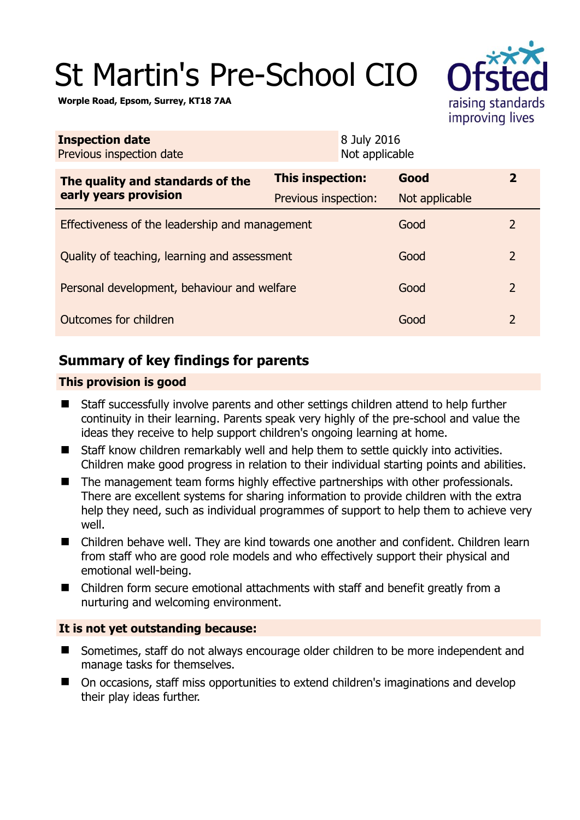# St Martin's Pre-School CIO

raising standards improving lives

**Worple Road, Epsom, Surrey, KT18 7AA** 

| <b>Inspection date</b><br>Previous inspection date |                         | 8 July 2016<br>Not applicable |                |                |
|----------------------------------------------------|-------------------------|-------------------------------|----------------|----------------|
| The quality and standards of the                   | <b>This inspection:</b> |                               | Good           | $\overline{2}$ |
| early years provision                              | Previous inspection:    |                               | Not applicable |                |
| Effectiveness of the leadership and management     |                         |                               | Good           | $\mathcal{L}$  |
| Quality of teaching, learning and assessment       |                         |                               | Good           | $\overline{2}$ |
| Personal development, behaviour and welfare        |                         |                               | Good           | $\overline{2}$ |
| Outcomes for children                              |                         |                               | Good           | $\overline{2}$ |

# **Summary of key findings for parents**

## **This provision is good**

- Staff successfully involve parents and other settings children attend to help further continuity in their learning. Parents speak very highly of the pre-school and value the ideas they receive to help support children's ongoing learning at home.
- Staff know children remarkably well and help them to settle quickly into activities. Children make good progress in relation to their individual starting points and abilities.
- The management team forms highly effective partnerships with other professionals. There are excellent systems for sharing information to provide children with the extra help they need, such as individual programmes of support to help them to achieve very well.
- Children behave well. They are kind towards one another and confident. Children learn from staff who are good role models and who effectively support their physical and emotional well-being.
- Children form secure emotional attachments with staff and benefit greatly from a nurturing and welcoming environment.

# **It is not yet outstanding because:**

- Sometimes, staff do not always encourage older children to be more independent and manage tasks for themselves.
- On occasions, staff miss opportunities to extend children's imaginations and develop their play ideas further.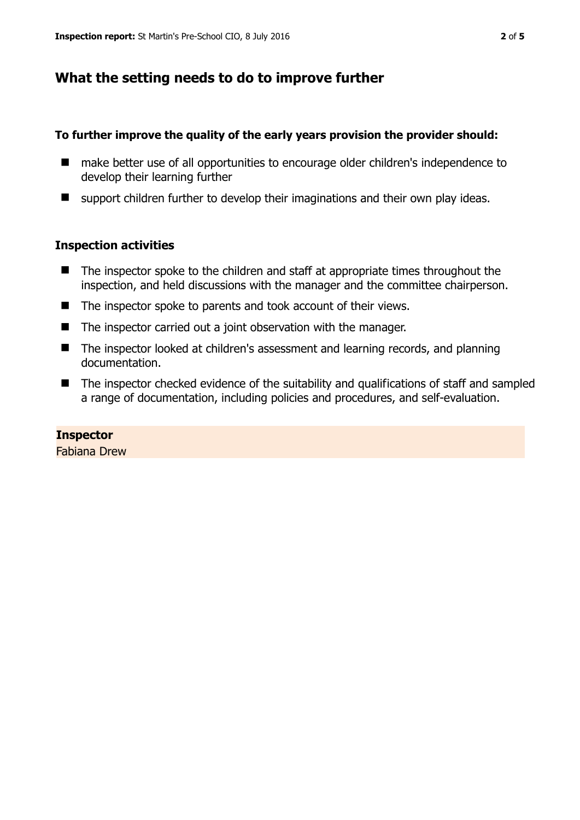# **What the setting needs to do to improve further**

## **To further improve the quality of the early years provision the provider should:**

- make better use of all opportunities to encourage older children's independence to develop their learning further
- $\blacksquare$  support children further to develop their imaginations and their own play ideas.

## **Inspection activities**

- $\blacksquare$  The inspector spoke to the children and staff at appropriate times throughout the inspection, and held discussions with the manager and the committee chairperson.
- The inspector spoke to parents and took account of their views.
- The inspector carried out a joint observation with the manager.
- The inspector looked at children's assessment and learning records, and planning documentation.
- The inspector checked evidence of the suitability and qualifications of staff and sampled a range of documentation, including policies and procedures, and self-evaluation.

# **Inspector**

Fabiana Drew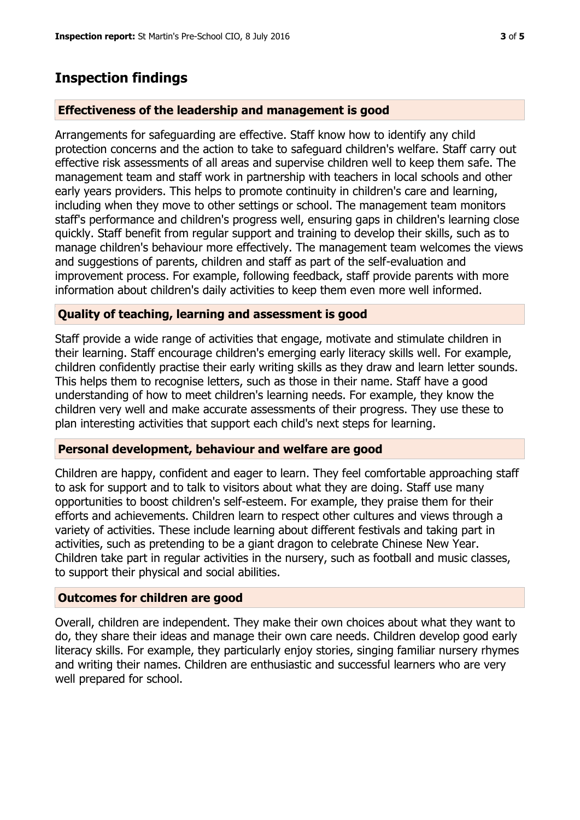# **Inspection findings**

## **Effectiveness of the leadership and management is good**

Arrangements for safeguarding are effective. Staff know how to identify any child protection concerns and the action to take to safeguard children's welfare. Staff carry out effective risk assessments of all areas and supervise children well to keep them safe. The management team and staff work in partnership with teachers in local schools and other early years providers. This helps to promote continuity in children's care and learning, including when they move to other settings or school. The management team monitors staff's performance and children's progress well, ensuring gaps in children's learning close quickly. Staff benefit from regular support and training to develop their skills, such as to manage children's behaviour more effectively. The management team welcomes the views and suggestions of parents, children and staff as part of the self-evaluation and improvement process. For example, following feedback, staff provide parents with more information about children's daily activities to keep them even more well informed.

### **Quality of teaching, learning and assessment is good**

Staff provide a wide range of activities that engage, motivate and stimulate children in their learning. Staff encourage children's emerging early literacy skills well. For example, children confidently practise their early writing skills as they draw and learn letter sounds. This helps them to recognise letters, such as those in their name. Staff have a good understanding of how to meet children's learning needs. For example, they know the children very well and make accurate assessments of their progress. They use these to plan interesting activities that support each child's next steps for learning.

### **Personal development, behaviour and welfare are good**

Children are happy, confident and eager to learn. They feel comfortable approaching staff to ask for support and to talk to visitors about what they are doing. Staff use many opportunities to boost children's self-esteem. For example, they praise them for their efforts and achievements. Children learn to respect other cultures and views through a variety of activities. These include learning about different festivals and taking part in activities, such as pretending to be a giant dragon to celebrate Chinese New Year. Children take part in regular activities in the nursery, such as football and music classes, to support their physical and social abilities.

### **Outcomes for children are good**

Overall, children are independent. They make their own choices about what they want to do, they share their ideas and manage their own care needs. Children develop good early literacy skills. For example, they particularly enjoy stories, singing familiar nursery rhymes and writing their names. Children are enthusiastic and successful learners who are very well prepared for school.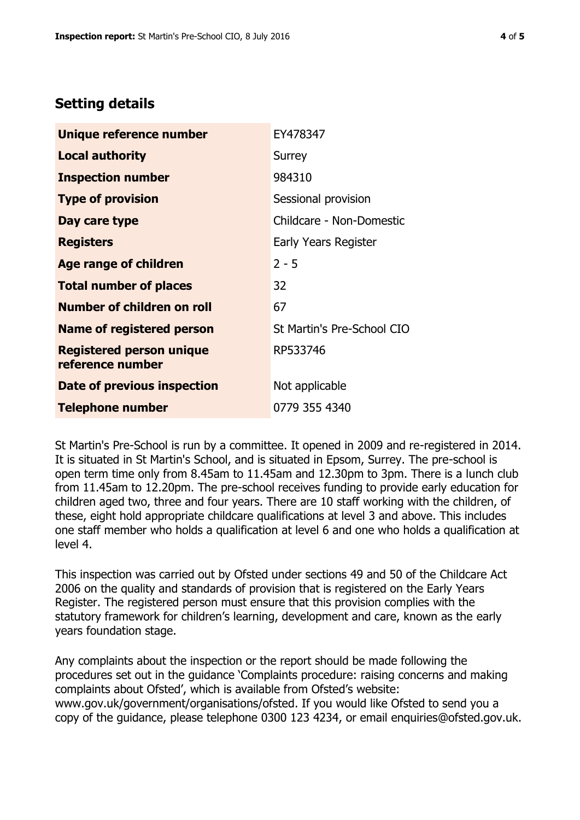# **Setting details**

| Unique reference number                             | EY478347                   |  |
|-----------------------------------------------------|----------------------------|--|
| <b>Local authority</b>                              | Surrey                     |  |
| <b>Inspection number</b>                            | 984310                     |  |
| <b>Type of provision</b>                            | Sessional provision        |  |
| Day care type                                       | Childcare - Non-Domestic   |  |
| <b>Registers</b>                                    | Early Years Register       |  |
| <b>Age range of children</b>                        | $2 - 5$                    |  |
| <b>Total number of places</b>                       | 32                         |  |
| <b>Number of children on roll</b>                   | 67                         |  |
| <b>Name of registered person</b>                    | St Martin's Pre-School CIO |  |
| <b>Registered person unique</b><br>reference number | RP533746                   |  |
| Date of previous inspection                         | Not applicable             |  |
| <b>Telephone number</b>                             | 0779 355 4340              |  |

St Martin's Pre-School is run by a committee. It opened in 2009 and re-registered in 2014. It is situated in St Martin's School, and is situated in Epsom, Surrey. The pre-school is open term time only from 8.45am to 11.45am and 12.30pm to 3pm. There is a lunch club from 11.45am to 12.20pm. The pre-school receives funding to provide early education for children aged two, three and four years. There are 10 staff working with the children, of these, eight hold appropriate childcare qualifications at level 3 and above. This includes one staff member who holds a qualification at level 6 and one who holds a qualification at level 4.

This inspection was carried out by Ofsted under sections 49 and 50 of the Childcare Act 2006 on the quality and standards of provision that is registered on the Early Years Register. The registered person must ensure that this provision complies with the statutory framework for children's learning, development and care, known as the early years foundation stage.

Any complaints about the inspection or the report should be made following the procedures set out in the guidance 'Complaints procedure: raising concerns and making complaints about Ofsted', which is available from Ofsted's website: www.gov.uk/government/organisations/ofsted. If you would like Ofsted to send you a copy of the guidance, please telephone 0300 123 4234, or email enquiries@ofsted.gov.uk.